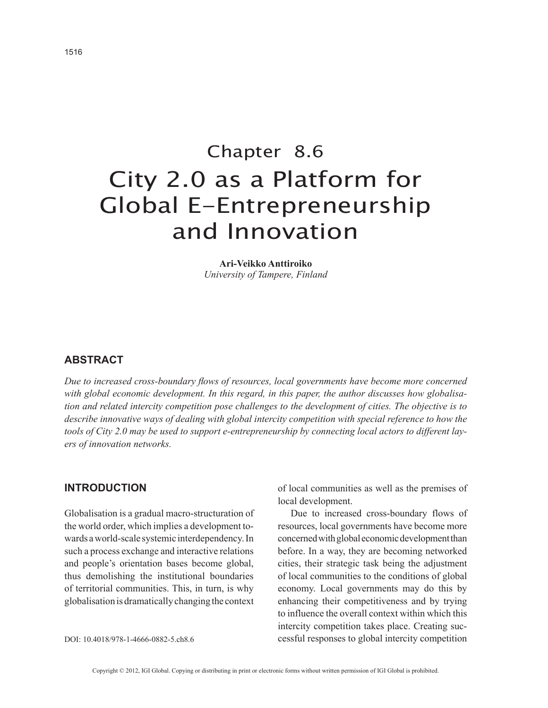# Chapter 8.6 City 2.0 as a Platform for Global E-Entrepreneurship and Innovation

**Ari-Veikko Anttiroiko** *University of Tampere, Finland*

## **ABSTRACT**

*Due to increased cross-boundary flows of resources, local governments have become more concerned with global economic development. In this regard, in this paper, the author discusses how globalisation and related intercity competition pose challenges to the development of cities. The objective is to describe innovative ways of dealing with global intercity competition with special reference to how the tools of City 2.0 may be used to support e-entrepreneurship by connecting local actors to different layers of innovation networks.*

## **INTRODUCTION**

Globalisation is a gradual macro-structuration of the world order, which implies a development towards a world-scale systemic interdependency. In such a process exchange and interactive relations and people's orientation bases become global, thus demolishing the institutional boundaries of territorial communities. This, in turn, is why globalisation is dramatically changing the context of local communities as well as the premises of local development.

Due to increased cross-boundary flows of resources, local governments have become more concerned with global economic development than before. In a way, they are becoming networked cities, their strategic task being the adjustment of local communities to the conditions of global economy. Local governments may do this by enhancing their competitiveness and by trying to influence the overall context within which this intercity competition takes place. Creating successful responses to global intercity competition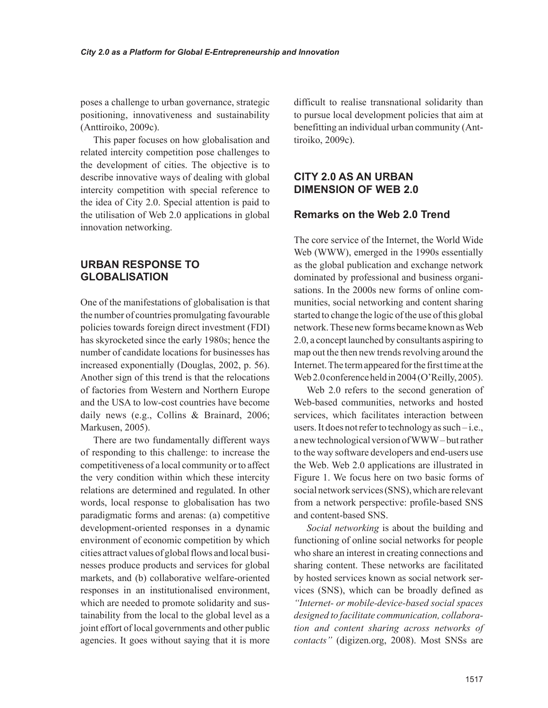poses a challenge to urban governance, strategic positioning, innovativeness and sustainability (Anttiroiko, 2009c).

This paper focuses on how globalisation and related intercity competition pose challenges to the development of cities. The objective is to describe innovative ways of dealing with global intercity competition with special reference to the idea of City 2.0. Special attention is paid to the utilisation of Web 2.0 applications in global innovation networking.

# **URBAN RESPONSE TO GLOBALISATION**

One of the manifestations of globalisation is that the number of countries promulgating favourable policies towards foreign direct investment (FDI) has skyrocketed since the early 1980s; hence the number of candidate locations for businesses has increased exponentially (Douglas, 2002, p. 56). Another sign of this trend is that the relocations of factories from Western and Northern Europe and the USA to low-cost countries have become daily news (e.g., Collins & Brainard, 2006; Markusen, 2005).

There are two fundamentally different ways of responding to this challenge: to increase the competitiveness of a local community or to affect the very condition within which these intercity relations are determined and regulated. In other words, local response to globalisation has two paradigmatic forms and arenas: (a) competitive development-oriented responses in a dynamic environment of economic competition by which cities attract values of global flows and local businesses produce products and services for global markets, and (b) collaborative welfare-oriented responses in an institutionalised environment, which are needed to promote solidarity and sustainability from the local to the global level as a joint effort of local governments and other public agencies. It goes without saying that it is more

difficult to realise transnational solidarity than to pursue local development policies that aim at benefitting an individual urban community (Anttiroiko, 2009c).

# **CITY 2.0 AS AN URBAN DIMENSION OF WEB 2.0**

## **Remarks on the Web 2.0 Trend**

The core service of the Internet, the World Wide Web (WWW), emerged in the 1990s essentially as the global publication and exchange network dominated by professional and business organisations. In the 2000s new forms of online communities, social networking and content sharing started to change the logic of the use of this global network. These new forms became known as Web 2.0, a concept launched by consultants aspiring to map out the then new trends revolving around the Internet. The term appeared for the first time at the Web 2.0 conference held in 2004 (O'Reilly, 2005).

Web 2.0 refers to the second generation of Web-based communities, networks and hosted services, which facilitates interaction between users. It does not refer to technology as such – i.e., a new technological version of WWW – but rather to the way software developers and end-users use the Web. Web 2.0 applications are illustrated in Figure 1. We focus here on two basic forms of social network services (SNS), which are relevant from a network perspective: profile-based SNS and content-based SNS.

*Social networking* is about the building and functioning of online social networks for people who share an interest in creating connections and sharing content. These networks are facilitated by hosted services known as social network services (SNS), which can be broadly defined as *"Internet- or mobile-device-based social spaces designed to facilitate communication, collaboration and content sharing across networks of contacts"* (digizen.org, 2008). Most SNSs are